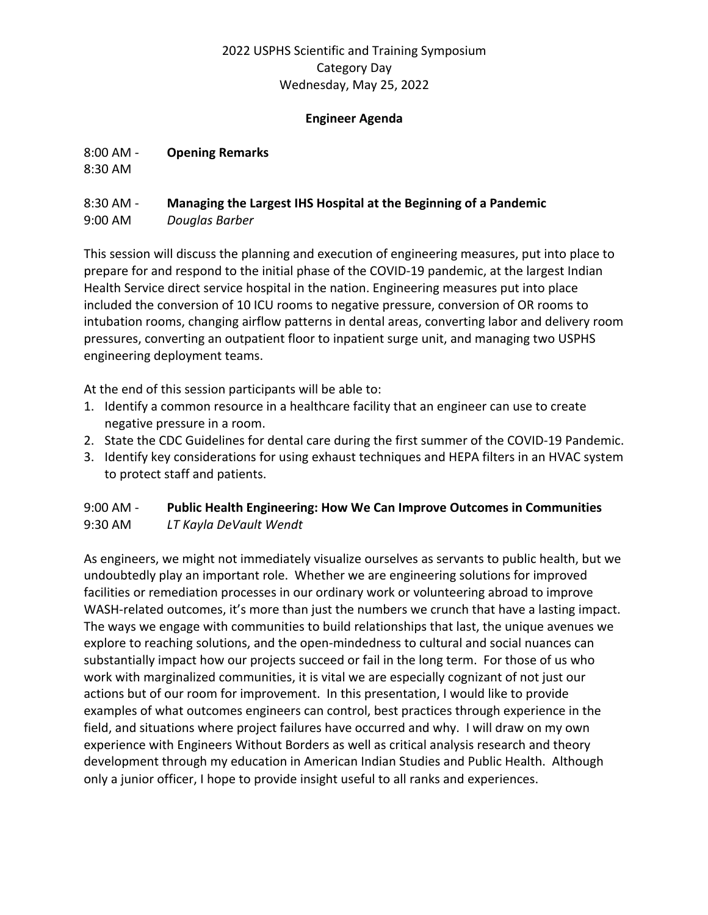#### **Engineer Agenda**

8:00 AM - **Opening Remarks**

8:30 AM

# 8:30 AM - **Managing the Largest IHS Hospital at the Beginning of a Pandemic**

9:00 AM *Douglas Barber* 

This session will discuss the planning and execution of engineering measures, put into place to prepare for and respond to the initial phase of the COVID-19 pandemic, at the largest Indian Health Service direct service hospital in the nation. Engineering measures put into place included the conversion of 10 ICU rooms to negative pressure, conversion of OR rooms to intubation rooms, changing airflow patterns in dental areas, converting labor and delivery room pressures, converting an outpatient floor to inpatient surge unit, and managing two USPHS engineering deployment teams.

At the end of this session participants will be able to:

- 1. Identify a common resource in a healthcare facility that an engineer can use to create negative pressure in a room.
- 2. State the CDC Guidelines for dental care during the first summer of the COVID-19 Pandemic.
- 3. Identify key considerations for using exhaust techniques and HEPA filters in an HVAC system to protect staff and patients.

#### 9:00 AM - **Public Health Engineering: How We Can Improve Outcomes in Communities** 9:30 AM *LT Kayla DeVault Wendt*

As engineers, we might not immediately visualize ourselves as servants to public health, but we undoubtedly play an important role. Whether we are engineering solutions for improved facilities or remediation processes in our ordinary work or volunteering abroad to improve WASH-related outcomes, it's more than just the numbers we crunch that have a lasting impact. The ways we engage with communities to build relationships that last, the unique avenues we explore to reaching solutions, and the open-mindedness to cultural and social nuances can substantially impact how our projects succeed or fail in the long term. For those of us who work with marginalized communities, it is vital we are especially cognizant of not just our actions but of our room for improvement. In this presentation, I would like to provide examples of what outcomes engineers can control, best practices through experience in the field, and situations where project failures have occurred and why. I will draw on my own experience with Engineers Without Borders as well as critical analysis research and theory development through my education in American Indian Studies and Public Health. Although only a junior officer, I hope to provide insight useful to all ranks and experiences.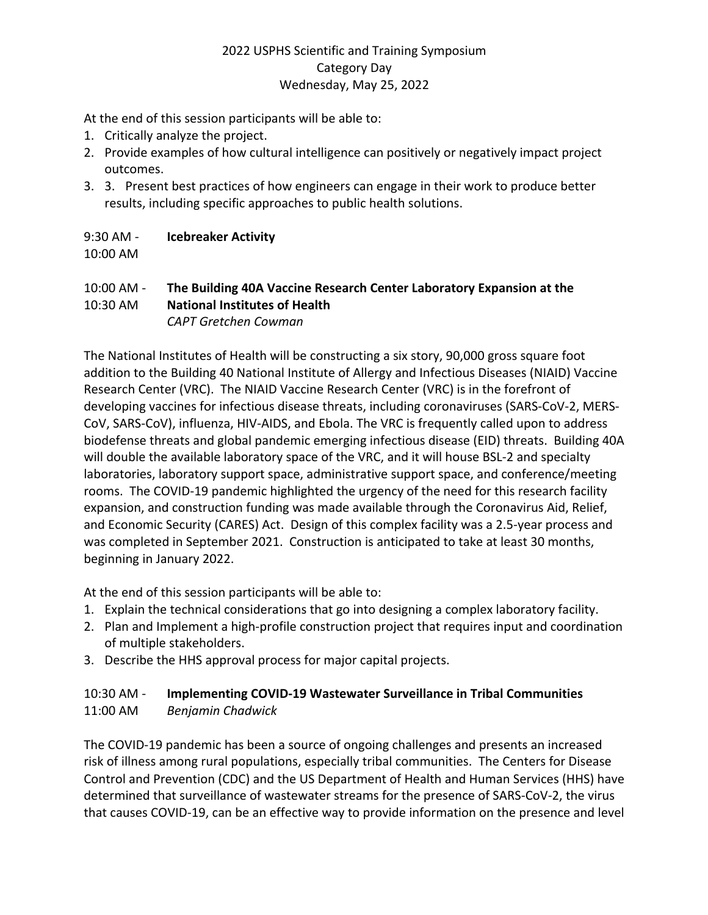At the end of this session participants will be able to:

- 1. Critically analyze the project.
- 2. Provide examples of how cultural intelligence can positively or negatively impact project outcomes.
- 3. 3. Present best practices of how engineers can engage in their work to produce better results, including specific approaches to public health solutions.

# 9:30 AM - **Icebreaker Activity**

10:00 AM

# 10:00 AM - **The Building 40A Vaccine Research Center Laboratory Expansion at the**

10:30 AM **National Institutes of Health**

*CAPT Gretchen Cowman* 

The National Institutes of Health will be constructing a six story, 90,000 gross square foot addition to the Building 40 National Institute of Allergy and Infectious Diseases (NIAID) Vaccine Research Center (VRC). The NIAID Vaccine Research Center (VRC) is in the forefront of developing vaccines for infectious disease threats, including coronaviruses (SARS-CoV-2, MERS-CoV, SARS-CoV), influenza, HIV-AIDS, and Ebola. The VRC is frequently called upon to address biodefense threats and global pandemic emerging infectious disease (EID) threats. Building 40A will double the available laboratory space of the VRC, and it will house BSL-2 and specialty laboratories, laboratory support space, administrative support space, and conference/meeting rooms. The COVID-19 pandemic highlighted the urgency of the need for this research facility expansion, and construction funding was made available through the Coronavirus Aid, Relief, and Economic Security (CARES) Act. Design of this complex facility was a 2.5-year process and was completed in September 2021. Construction is anticipated to take at least 30 months, beginning in January 2022.

At the end of this session participants will be able to:

- 1. Explain the technical considerations that go into designing a complex laboratory facility.
- 2. Plan and Implement a high-profile construction project that requires input and coordination of multiple stakeholders.
- 3. Describe the HHS approval process for major capital projects.

# 10:30 AM - **Implementing COVID-19 Wastewater Surveillance in Tribal Communities** 11:00 AM *Benjamin Chadwick*

The COVID-19 pandemic has been a source of ongoing challenges and presents an increased risk of illness among rural populations, especially tribal communities. The Centers for Disease Control and Prevention (CDC) and the US Department of Health and Human Services (HHS) have determined that surveillance of wastewater streams for the presence of SARS-CoV-2, the virus that causes COVID-19, can be an effective way to provide information on the presence and level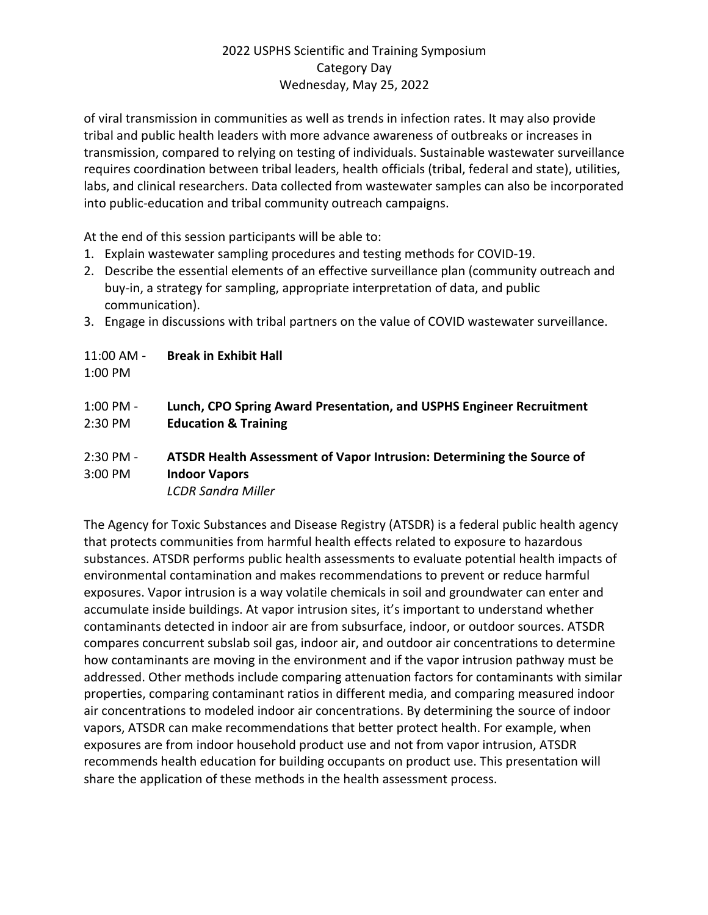of viral transmission in communities as well as trends in infection rates. It may also provide tribal and public health leaders with more advance awareness of outbreaks or increases in transmission, compared to relying on testing of individuals. Sustainable wastewater surveillance requires coordination between tribal leaders, health officials (tribal, federal and state), utilities, labs, and clinical researchers. Data collected from wastewater samples can also be incorporated into public-education and tribal community outreach campaigns.

At the end of this session participants will be able to:

- 1. Explain wastewater sampling procedures and testing methods for COVID-19.
- 2. Describe the essential elements of an effective surveillance plan (community outreach and buy-in, a strategy for sampling, appropriate interpretation of data, and public communication).
- 3. Engage in discussions with tribal partners on the value of COVID wastewater surveillance.

11:00 AM - **Break in Exhibit Hall**

1:00 PM

- 1:00 PM **Lunch, CPO Spring Award Presentation, and USPHS Engineer Recruitment**  2:30 PM **Education & Training**
- 2:30 PM **ATSDR Health Assessment of Vapor Intrusion: Determining the Source of**  3:00 PM **Indoor Vapors** *LCDR Sandra Miller*

The Agency for Toxic Substances and Disease Registry (ATSDR) is a federal public health agency that protects communities from harmful health effects related to exposure to hazardous substances. ATSDR performs public health assessments to evaluate potential health impacts of environmental contamination and makes recommendations to prevent or reduce harmful exposures. Vapor intrusion is a way volatile chemicals in soil and groundwater can enter and accumulate inside buildings. At vapor intrusion sites, it's important to understand whether contaminants detected in indoor air are from subsurface, indoor, or outdoor sources. ATSDR compares concurrent subslab soil gas, indoor air, and outdoor air concentrations to determine how contaminants are moving in the environment and if the vapor intrusion pathway must be addressed. Other methods include comparing attenuation factors for contaminants with similar properties, comparing contaminant ratios in different media, and comparing measured indoor air concentrations to modeled indoor air concentrations. By determining the source of indoor vapors, ATSDR can make recommendations that better protect health. For example, when exposures are from indoor household product use and not from vapor intrusion, ATSDR recommends health education for building occupants on product use. This presentation will share the application of these methods in the health assessment process.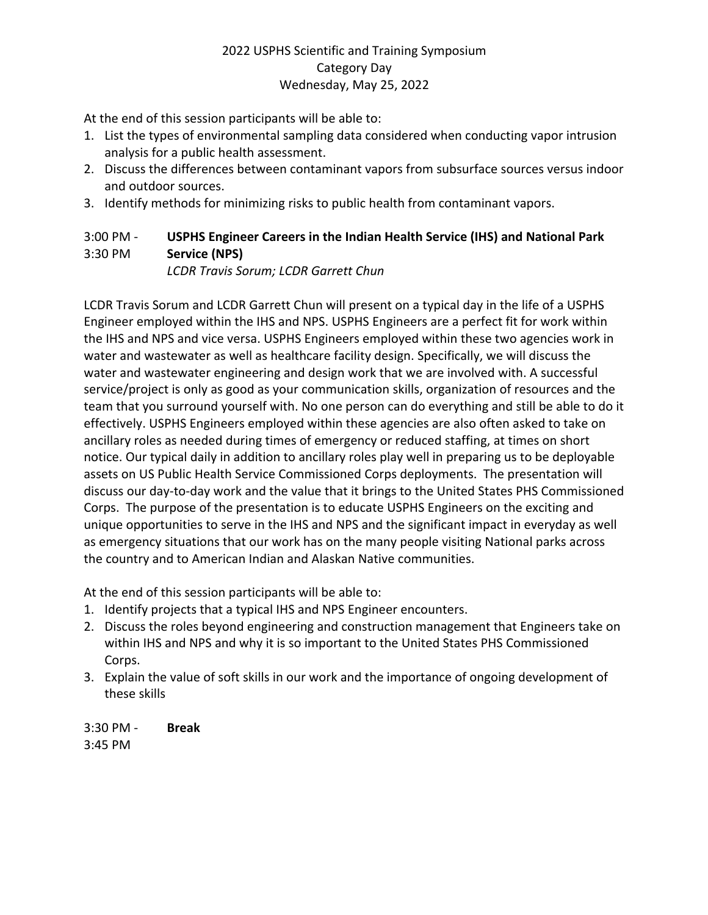At the end of this session participants will be able to:

- 1. List the types of environmental sampling data considered when conducting vapor intrusion analysis for a public health assessment.
- 2. Discuss the differences between contaminant vapors from subsurface sources versus indoor and outdoor sources.
- 3. Identify methods for minimizing risks to public health from contaminant vapors.

# 3:00 PM - **USPHS Engineer Careers in the Indian Health Service (IHS) and National Park**  3:30 PM **Service (NPS)**

*LCDR Travis Sorum; LCDR Garrett Chun* 

LCDR Travis Sorum and LCDR Garrett Chun will present on a typical day in the life of a USPHS Engineer employed within the IHS and NPS. USPHS Engineers are a perfect fit for work within the IHS and NPS and vice versa. USPHS Engineers employed within these two agencies work in water and wastewater as well as healthcare facility design. Specifically, we will discuss the water and wastewater engineering and design work that we are involved with. A successful service/project is only as good as your communication skills, organization of resources and the team that you surround yourself with. No one person can do everything and still be able to do it effectively. USPHS Engineers employed within these agencies are also often asked to take on ancillary roles as needed during times of emergency or reduced staffing, at times on short notice. Our typical daily in addition to ancillary roles play well in preparing us to be deployable assets on US Public Health Service Commissioned Corps deployments. The presentation will discuss our day-to-day work and the value that it brings to the United States PHS Commissioned Corps. The purpose of the presentation is to educate USPHS Engineers on the exciting and unique opportunities to serve in the IHS and NPS and the significant impact in everyday as well as emergency situations that our work has on the many people visiting National parks across the country and to American Indian and Alaskan Native communities.

At the end of this session participants will be able to:

- 1. Identify projects that a typical IHS and NPS Engineer encounters.
- 2. Discuss the roles beyond engineering and construction management that Engineers take on within IHS and NPS and why it is so important to the United States PHS Commissioned Corps.
- 3. Explain the value of soft skills in our work and the importance of ongoing development of these skills

3:30 PM - **Break** 3:45 PM